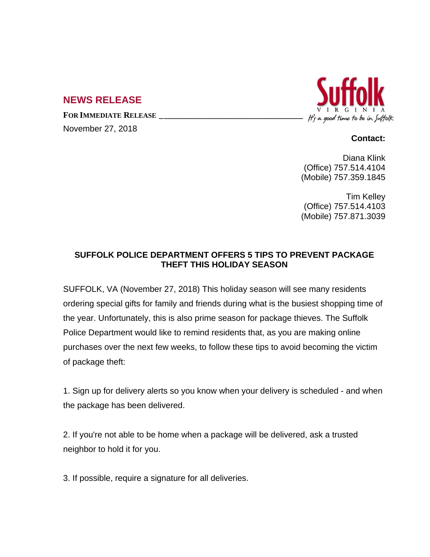## **NEWS RELEASE**

**FOR IMMEDIATE RELEASE \_\_\_\_\_\_\_\_\_\_\_\_\_\_\_\_\_\_\_\_\_\_\_\_\_\_\_\_\_\_\_\_\_\_**

November 27, 2018



## **Contact:**

Diana Klink (Office) 757.514.4104 (Mobile) 757.359.1845

Tim Kelley (Office) 757.514.4103 (Mobile) 757.871.3039

## **SUFFOLK POLICE DEPARTMENT OFFERS 5 TIPS TO PREVENT PACKAGE THEFT THIS HOLIDAY SEASON**

SUFFOLK, VA (November 27, 2018) This holiday season will see many residents ordering special gifts for family and friends during what is the busiest shopping time of the year. Unfortunately, this is also prime season for package thieves. The Suffolk Police Department would like to remind residents that, as you are making online purchases over the next few weeks, to follow these tips to avoid becoming the victim of package theft:

1. Sign up for delivery alerts so you know when your delivery is scheduled - and when the package has been delivered.

2. If you're not able to be home when a package will be delivered, ask a trusted neighbor to hold it for you.

3. If possible, require a signature for all deliveries.